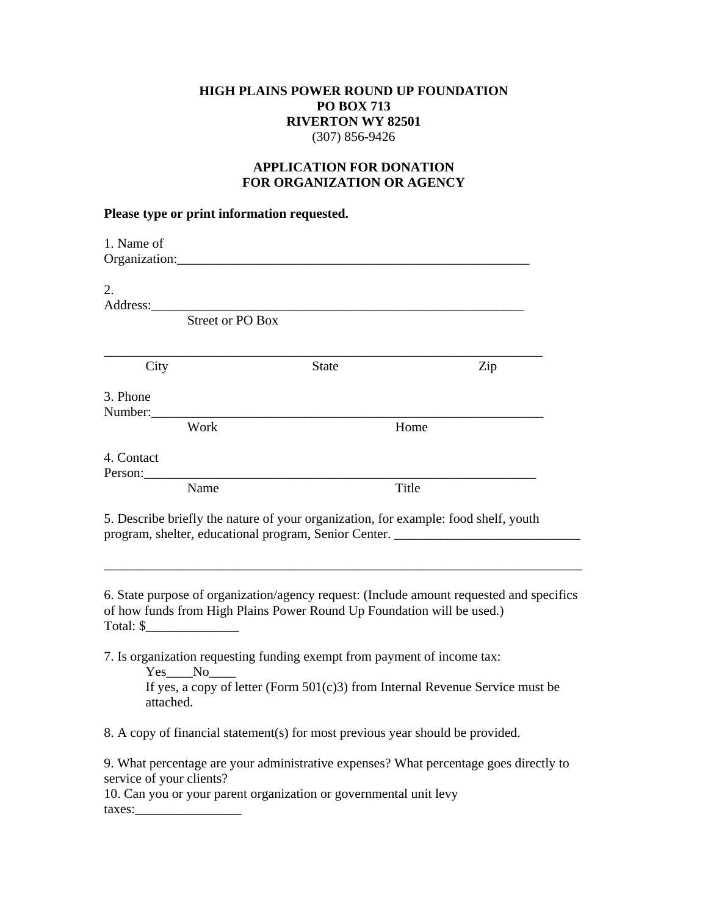## **HIGH PLAINS POWER ROUND UP FOUNDATION PO BOX 713 RIVERTON WY 82501**  (307) 856-9426

## **APPLICATION FOR DONATION FOR ORGANIZATION OR AGENCY**

## **Please type or print information requested.**

| 1. Name of                                                                                                                                                                                                                                                                       |                                                                                     |                                                                                          |  |
|----------------------------------------------------------------------------------------------------------------------------------------------------------------------------------------------------------------------------------------------------------------------------------|-------------------------------------------------------------------------------------|------------------------------------------------------------------------------------------|--|
| 2.                                                                                                                                                                                                                                                                               |                                                                                     |                                                                                          |  |
|                                                                                                                                                                                                                                                                                  | <b>Street or PO Box</b>                                                             |                                                                                          |  |
| City                                                                                                                                                                                                                                                                             | <b>State</b>                                                                        | Zip                                                                                      |  |
| 3. Phone<br>Number:                                                                                                                                                                                                                                                              |                                                                                     |                                                                                          |  |
| Work                                                                                                                                                                                                                                                                             |                                                                                     | Home                                                                                     |  |
| 4. Contact<br>Person:                                                                                                                                                                                                                                                            |                                                                                     |                                                                                          |  |
| Name                                                                                                                                                                                                                                                                             |                                                                                     | <b>Title</b>                                                                             |  |
|                                                                                                                                                                                                                                                                                  | 5. Describe briefly the nature of your organization, for example: food shelf, youth | program, shelter, educational program, Senior Center. ___________________________        |  |
| Total: $\frac{1}{2}$ Total: $\frac{1}{2}$ Total: $\frac{1}{2}$ Total: $\frac{1}{2}$ Total: $\frac{1}{2}$ Total: $\frac{1}{2}$ Total: $\frac{1}{2}$ Total: $\frac{1}{2}$ Total: $\frac{1}{2}$ Total: $\frac{1}{2}$ Total: $\frac{1}{2}$ Total: $\frac{1}{2}$ Total: $\frac{1}{2}$ | of how funds from High Plains Power Round Up Foundation will be used.)              | 6. State purpose of organization/agency request: (Include amount requested and specifics |  |
| Yes No<br>attached.                                                                                                                                                                                                                                                              | 7. Is organization requesting funding exempt from payment of income tax:            | If yes, a copy of letter (Form $501(c)3$ ) from Internal Revenue Service must be         |  |
|                                                                                                                                                                                                                                                                                  | 8. A copy of financial statement(s) for most previous year should be provided.      |                                                                                          |  |
|                                                                                                                                                                                                                                                                                  |                                                                                     |                                                                                          |  |
| service of your clients?                                                                                                                                                                                                                                                         |                                                                                     | 9. What percentage are your administrative expenses? What percentage goes directly to    |  |
| 10. Can you or your parent organization or governmental unit levy                                                                                                                                                                                                                |                                                                                     |                                                                                          |  |

taxes:\_\_\_\_\_\_\_\_\_\_\_\_\_\_\_\_